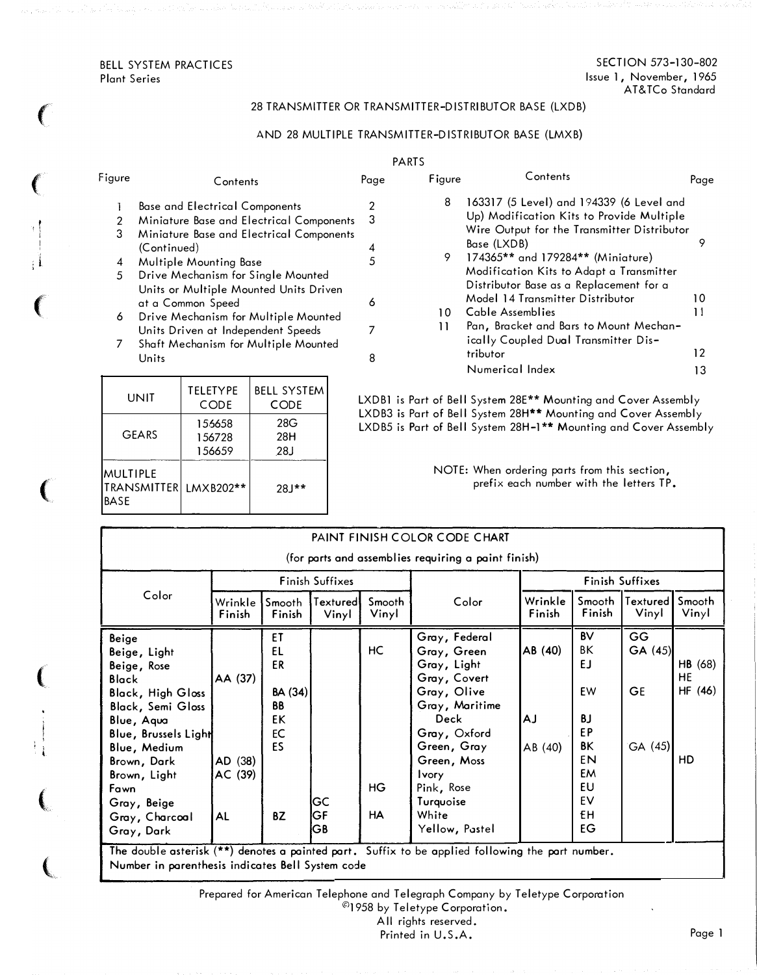BELL SYSTEM PRACTICES Plant Series

 $\big($ 

 $\big($ 

t i

 $: \mathsf{I}$ 

 $\left($ 

 $\big($ 

(

 $\left($ 

 $\big($ 

## 28 TRANSMITTER OR TRANSMITTER-DISTRIBUTOR BASE (LXDB)

# AND 28 MULTIPLE TRANSMITTER-DISTRIBUTOR BASE (LMXB)

|              |                                                                                                                                                                                                                                                                             |      | <b>PARTS</b> |                                                                                                                                                                                                                                                                                                                                         |          |
|--------------|-----------------------------------------------------------------------------------------------------------------------------------------------------------------------------------------------------------------------------------------------------------------------------|------|--------------|-----------------------------------------------------------------------------------------------------------------------------------------------------------------------------------------------------------------------------------------------------------------------------------------------------------------------------------------|----------|
| Figure       | Contents                                                                                                                                                                                                                                                                    | Page | Figure       | Contents                                                                                                                                                                                                                                                                                                                                | Page     |
| 3<br>4<br>5. | <b>Base and Electrical Components</b><br>Miniature Base and Electrical Components<br>Miniature Base and Electrical Components<br>(Continued)<br>Multiple Mounting Base<br>Drive Mechanism for Single Mounted<br>Units or Multiple Mounted Units Driven<br>at a Common Speed | 6    | 8<br>9.      | 163317 (5 Level) and 194339 (6 Level and<br>Up) Modification Kits to Provide Multiple<br>Wire Output for the Transmitter Distributor<br>Base (LXDB)<br>174365** and 179284** (Miniature)<br>Modification Kits to Adapt a Transmitter<br>Distributor Base as a Replacement for a<br>Model 14 Transmitter Distributor<br>Cable Assemblies | 10<br>11 |
| 6            | Drive Mechanism for Multiple Mounted<br>Units Driven at Independent Speeds                                                                                                                                                                                                  | 7    | 10<br>11     | Pan, Bracket and Bars to Mount Mechan-<br>ically Coupled Dual Transmitter Dis-                                                                                                                                                                                                                                                          |          |
|              | Shaft Mechanism for Multiple Mounted<br>Units                                                                                                                                                                                                                               | 8    |              | tributor                                                                                                                                                                                                                                                                                                                                | 12       |

| UNIT                                                 | <b>TELETYPE</b><br>CODE    | <b>BELL SYSTEM</b><br><b>CODE</b> |  |
|------------------------------------------------------|----------------------------|-----------------------------------|--|
| GEARS                                                | 156658<br>156728<br>156659 | 28G<br>28H<br>28J                 |  |
| <b>MULTIPLE</b><br><b>TRANSMITTER</b><br><b>BASE</b> | LMXB202**                  | $28J**$                           |  |

|  |  |  |  | LXDB1 is Part of Bell System 28E** Mounting and Cover Assembly               |
|--|--|--|--|------------------------------------------------------------------------------|
|  |  |  |  | LXDB3 is Part of Bell System 28H** Mounting and Cover Assembly               |
|  |  |  |  | LXDB5 is Part of Bell System 28H-1 <sup>**</sup> Mounting and Cover Assembly |

NOTE: When ordering parts from this section, prefix each number with the letters TP.

Numerical Index 13

| PAINT FINISH COLOR CODE CHART                                                                                                                                                                                                                            |                                            |                                                                       |                        |                        |                                                                                                                                                                                                                                 |                                 |                                                                                   |                                      |                                       |
|----------------------------------------------------------------------------------------------------------------------------------------------------------------------------------------------------------------------------------------------------------|--------------------------------------------|-----------------------------------------------------------------------|------------------------|------------------------|---------------------------------------------------------------------------------------------------------------------------------------------------------------------------------------------------------------------------------|---------------------------------|-----------------------------------------------------------------------------------|--------------------------------------|---------------------------------------|
| (for parts and assemblies requiring a paint finish)                                                                                                                                                                                                      |                                            |                                                                       |                        |                        |                                                                                                                                                                                                                                 |                                 |                                                                                   |                                      |                                       |
|                                                                                                                                                                                                                                                          |                                            |                                                                       | <b>Finish Suffixes</b> |                        |                                                                                                                                                                                                                                 |                                 |                                                                                   | Finish Suffixes                      |                                       |
| Color                                                                                                                                                                                                                                                    | Wrinkle<br>Finish                          | Smooth<br>Finish                                                      | Textured<br>Vinyl      | Smooth<br>Vinyl        | Color                                                                                                                                                                                                                           | Wrinkle<br>Finish               | Smooth<br>Finish                                                                  | Textured  <br>Vinyl                  | Smooth<br>Vinyl                       |
| Beige<br>Beige, Light<br>Beige, Rose<br><b>Black</b><br><b>Black, High Gloss</b><br><b>Black, Semi Gloss</b><br>Blue, Aqua<br>Blue, Brussels Light<br>Blue, Medium<br>Brown, Dark<br>Brown, Light<br>Fawn<br>Gray, Beige<br>Gray, Charcoal<br>Gray, Dark | AA (37)<br>AD (38)<br>AC (39)<br><b>AL</b> | ET<br>EL<br>ER<br><b>BA (34)</b><br><b>BB</b><br>EK<br>EC<br>ES<br>BZ | GC<br>GF<br>GB         | HC<br>HG.<br><b>HA</b> | Gray, Federal<br>Gray, Green<br>Gray, Light<br>Gray, Covert<br>Gray, Olive<br>Gray, Maritime<br><b>Deck</b><br>Gray, Oxford<br>Green, Gray<br>Green, Moss<br><b>Ivory</b><br>Pink, Rose<br>Turquoise<br>White<br>Yellow, Pastel | AB (40)<br><b>AJ</b><br>AB (40) | <b>BV</b><br>BΚ<br>EJ<br>EW<br>ΒJ<br>EP<br>ΒK<br>EN<br>EM<br>EU<br>EV<br>£Η<br>EG | GG<br>GA(45)<br><b>GE</b><br>GA (45) | HB (68)<br><b>HE</b><br>HF (46)<br>HD |

Prepared for American Telephone and Telegraph Company by Teletype Corporation  $^{\copyright}$ 1958 by Teletype Corporation.

All rights reserved.

Printed in U.S.A.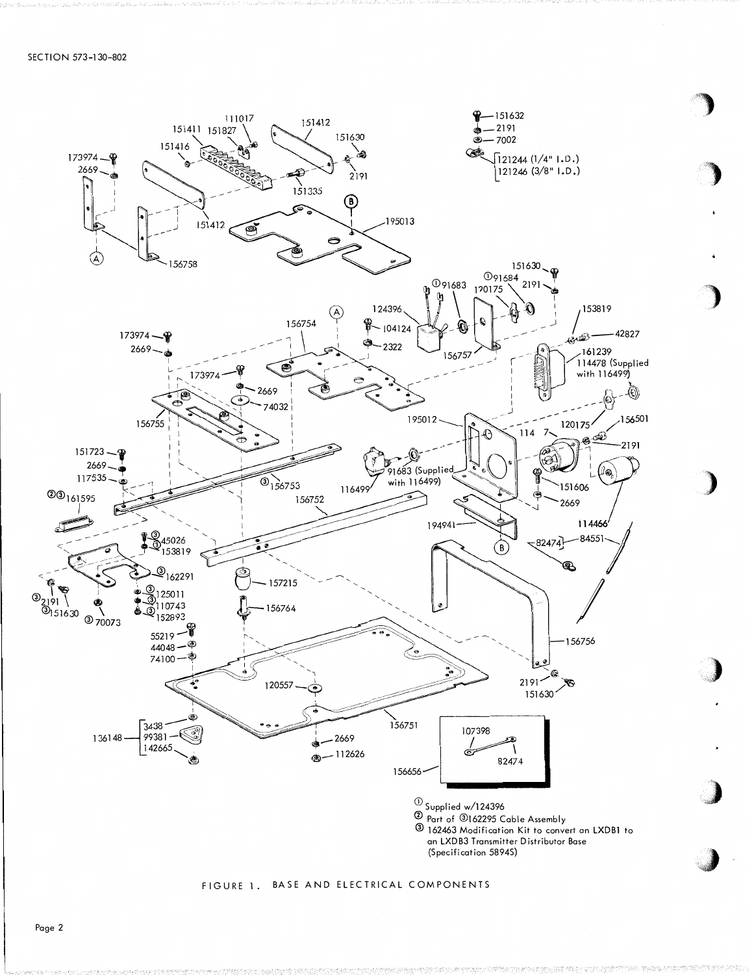

#### FIGURE 1. BASE AND ELECTRICAL COMPONENTS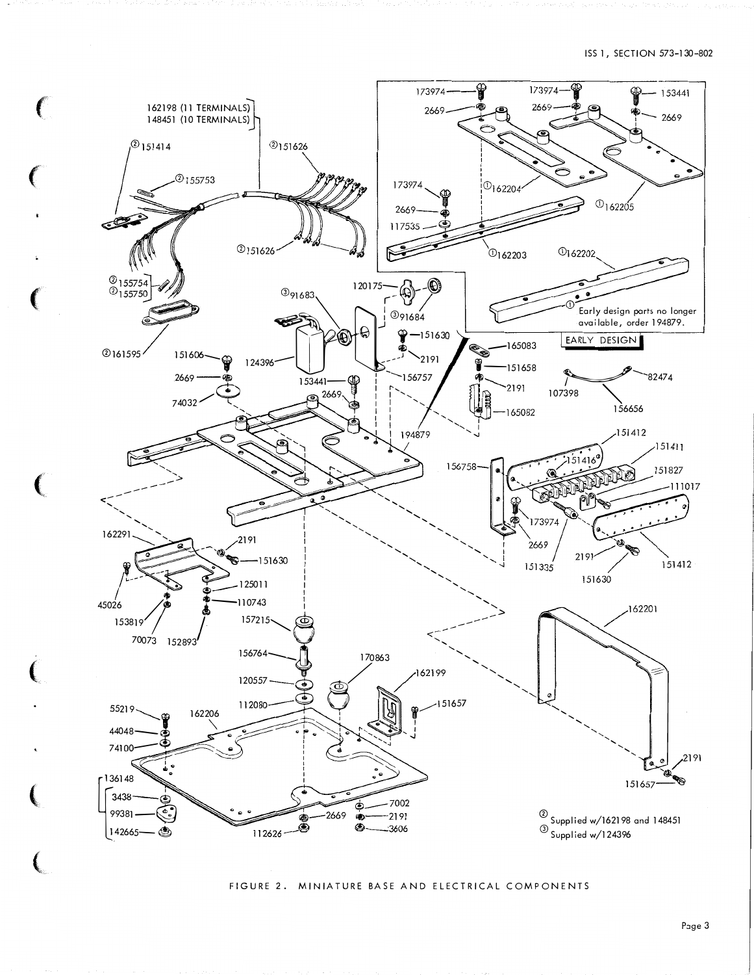![](_page_2_Figure_1.jpeg)

#### FIGURE 2. MINIATURE BASE AND ELECTRICAL COMPONENTS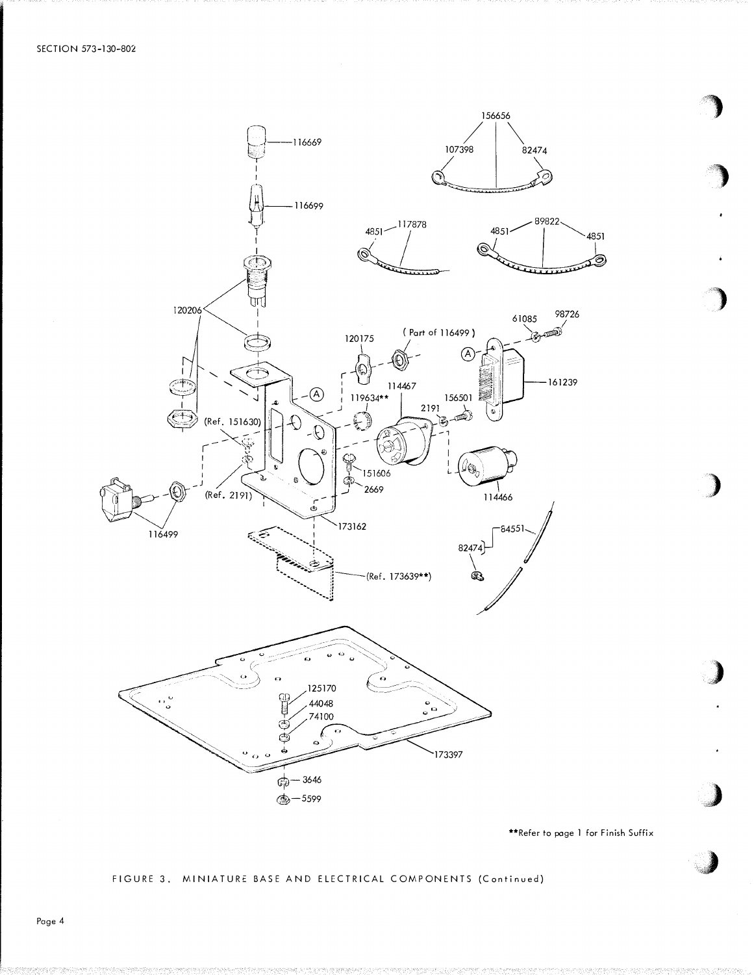![](_page_3_Figure_1.jpeg)

\*\*Refer to page 1 for Finish Suffix

## FIGURE 3. MINIATURE BASE AND ELECTRICAL COMPONENTS (Continued)

Page 4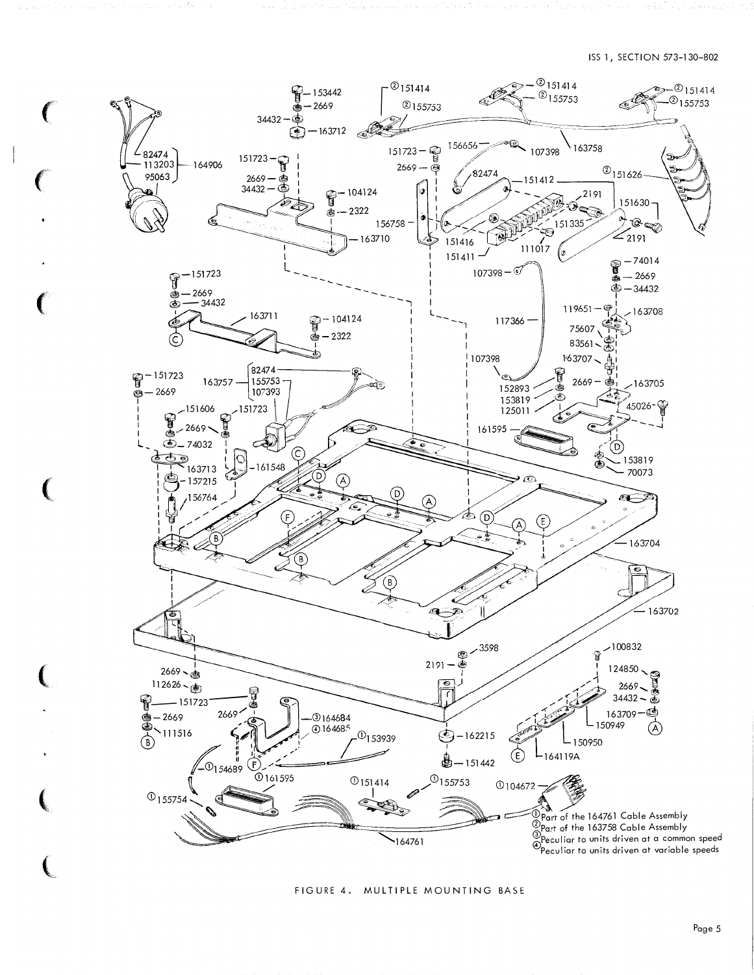ISS 1, SECTION 573-130-802

![](_page_4_Figure_1.jpeg)

FIGURE 4. MULTIPLE MOUNTING BASE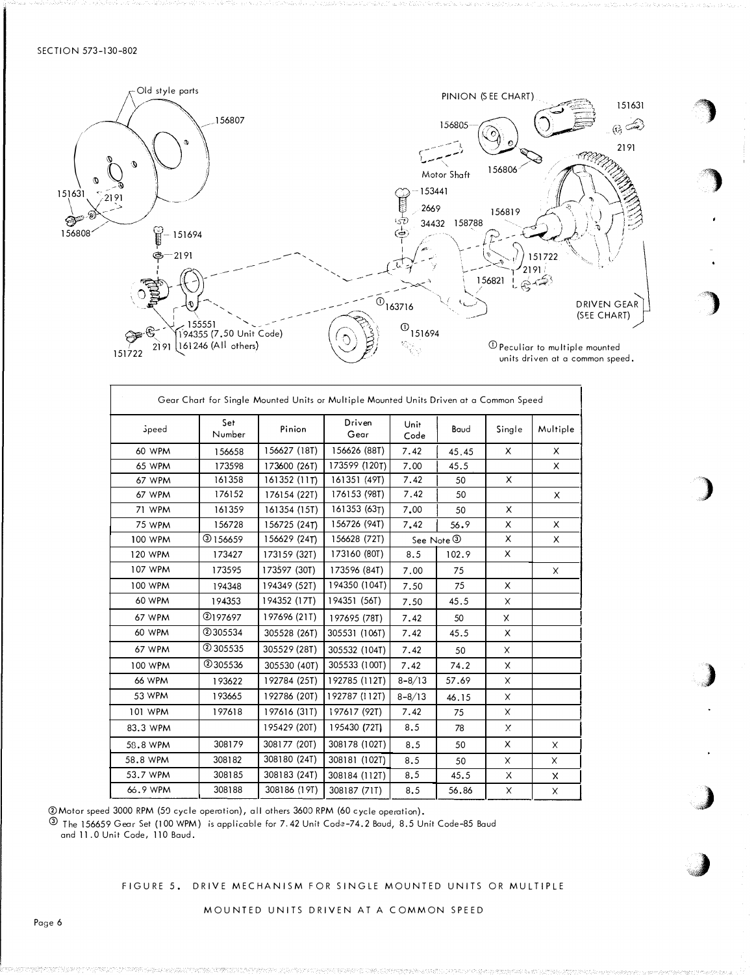![](_page_5_Figure_1.jpeg)

| Gear Chart for Single Mounted Units or Multiple Mounted Units Driven at a Common Speed |               |              |                |              |            |              |          |  |
|----------------------------------------------------------------------------------------|---------------|--------------|----------------|--------------|------------|--------------|----------|--|
| <i><b>Speed</b></i>                                                                    | Set<br>Number | Pinion       | Driven<br>Gear | Unit<br>Code | Baud       | Single       | Multiple |  |
| <b>60 WPM</b>                                                                          | 156658        | 156627 (18T) | 156626 (88T)   | 7.42         | 45.45      | X            | X        |  |
| 65 WPM                                                                                 | 173598        | 173600 (26T) | 173599 (120T)  | 7.00         | 45.5       |              | X        |  |
| 67 WPM                                                                                 | 161358        | 161352 (11T) | 161351 (49T)   | 7.42         | 50         | X            |          |  |
| 67 WPM                                                                                 | 176152        | 176154 (22T) | 176153 (98T)   | 7.42         | 50         |              | X        |  |
| 71 WPM                                                                                 | 161359        | 161354 (15T) | 161353 (63T)   | 7.00         | 50         | X            |          |  |
| 75 WPM                                                                                 | 156728        | 156725 (24T) | 156726 (94T)   | 7.42         | 56.9       | X            | X        |  |
| 100 WPM                                                                                | @156659       | 156629 (24T) | 156628 (72T)   |              | See Note 3 | X            | X        |  |
| 120 WPM                                                                                | 173427        | 173159 (32T) | 173160 (80T)   | 8.5          | 102.9      | X            |          |  |
| 107 WPM                                                                                | 173595        | 173597 (30T) | 173596 (84T)   | 7.00         | 75         |              | X        |  |
| 100 WPM                                                                                | 194348        | 194349 (52T) | 194350 (104T)  | 7.50         | 75         | X            |          |  |
| <b>60 WPM</b>                                                                          | 194353        | 194352 (17T) | 194351 (56T)   | 7.50         | 45.5       | $\times$     |          |  |
| 67 WPM                                                                                 | @197697       | 197696 (21T) | 197695 (78T)   | 7.42         | 50         | $\mathsf{X}$ |          |  |
| <b>60 WPM</b>                                                                          | 2305534       | 305528 (26T) | 305531 (106T)  | 7.42         | 45.5       | X            |          |  |
| 67 WPM                                                                                 | 2 305535      | 305529 (28T) | 305532 (104T)  | 7.42         | 50         | X            |          |  |
| 100 WPM                                                                                | 2305536       | 305530 (40T) | 305533 (100T)  | 7.42         | 74.2       | X            |          |  |
| <b>66 WPM</b>                                                                          | 193622        | 192784 (25T) | 192785 (112T)  | $8 - 8/13$   | 57.69      | X            |          |  |
| 53 WPM                                                                                 | 193665        | 192786 (20T) | 192787 (112T)  | $8 - 8/13$   | 46.15      | X            |          |  |
| 101 WPM                                                                                | 197618        | 197616 (31T) | 197617 (92T)   | 7.42         | 75         | X            |          |  |
| 83.3 WPM                                                                               |               | 195429 (20T) | 195430 (72T)   | 8.5          | 78         | X            |          |  |
| 58.8 WPM                                                                               | 308179        | 308177 (20T) | 308178 (102T)  | 8.5          | 50         | X            | X        |  |
| 58.8 WPM                                                                               | 308182        | 308180 (24T) | 308181 (102T)  | 8.5          | 50         | X            | X        |  |
| 53.7 WPM                                                                               | 308185        | 308183 (24T) | 308184 (112T)  | 8.5          | 45.5       | X            | x        |  |
| 66.9 WPM                                                                               | 308188        | 308186 (19T) | 308187 (71T)   | 8.5          | 56.86      | X            | X        |  |

2 Motor speed 3000 RPM (50 cycle operation), all others 3600 RPM (60 cycle operation).

<sup>3</sup> The 156659 Gear Set (100 WPM) is applicable for 7.42 Unit Code-74.2 Baud, 8.5 Unit Code-85 Baud and 11.0 Unit Code, 110 Baud.

FIGURE 5. DRIVE MECHANISM FOR SINGLE MOUNTED UNITS OR MULTIPLE

MOUNTED UNITS DRIVEN AT A COMMON SPEED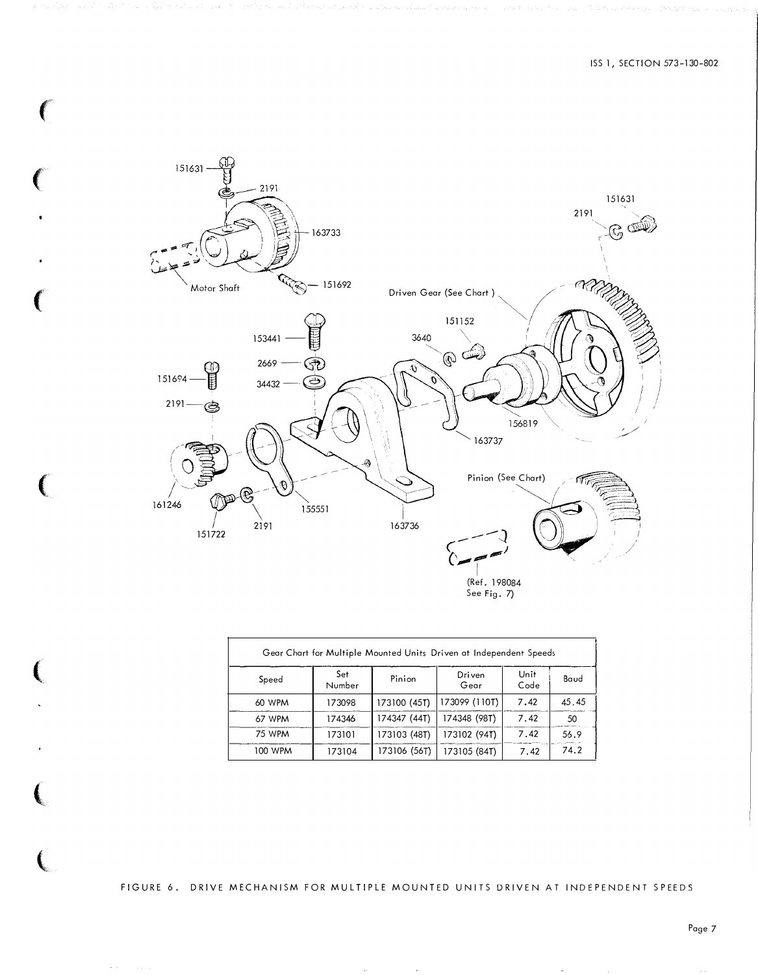![](_page_6_Figure_1.jpeg)

ſ

€

| Gear Chart for Multiple Mounted Units Driven at Independent Speeds |               |              |                |              |       |  |  |  |  |  |  |
|--------------------------------------------------------------------|---------------|--------------|----------------|--------------|-------|--|--|--|--|--|--|
| Speed                                                              | Set<br>Number | Pinion       | Driven<br>Gear | Unit<br>Code | Baud  |  |  |  |  |  |  |
| 60 WPM                                                             | 173098        | 173100 (45T) | 173099 (110T)  | 7.42         | 45.45 |  |  |  |  |  |  |
| 67 WPM                                                             | 174346        | 174347 (44T) | 174348 (98T)   | 7.42         | 50    |  |  |  |  |  |  |
| <b>75 WPM</b>                                                      | 173101        | 173103 (48T) | 173102 (94T)   | 7.42         | 56.9  |  |  |  |  |  |  |
| 100 WPM                                                            | 173104        | 173106 (56T) | 173105 (84T)   | 7.42         | 74.2  |  |  |  |  |  |  |

FIGURE 6. DRIVE MECHANISM FOR MULTIPLE MOUNTED UNITS DRIVEN AT INDEPENDENT SPEEDS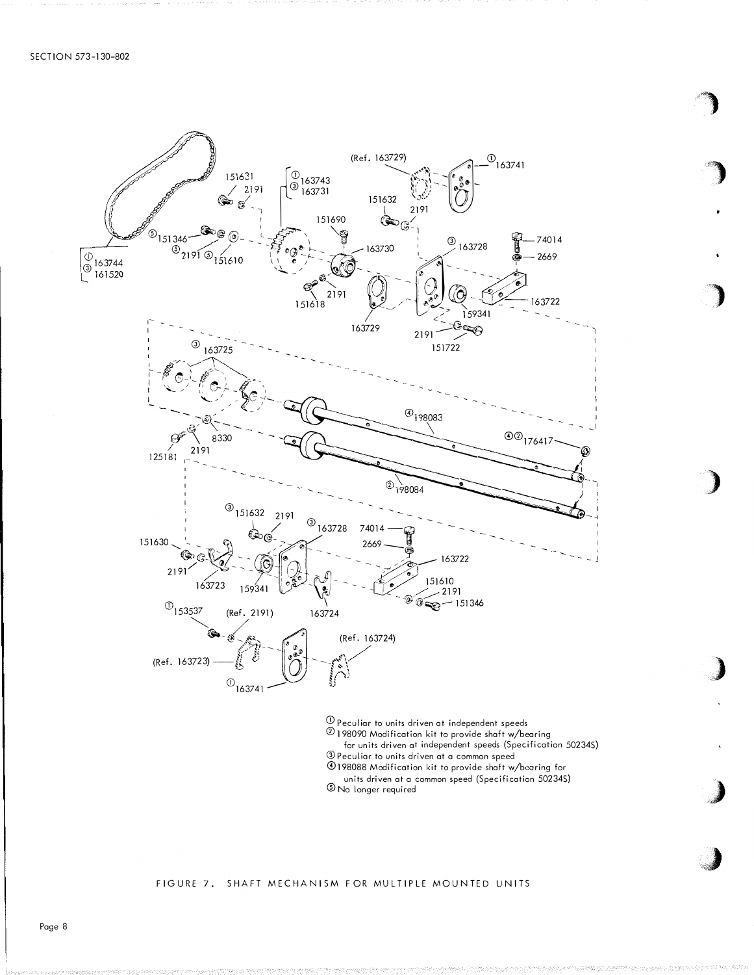![](_page_7_Figure_1.jpeg)

- for units driven at independent speeds (Specification 50234S)
- <sup>3</sup> Peculiar to units driven at a common speed
- 198088 Modification kit to provide shaft w/bearing for
- units driven at a common speed (Specification 50234S) 5 No longer required

### FIGURE 7. SHAFT MECHANISM FOR MULTIPLE MOUNTED UNITS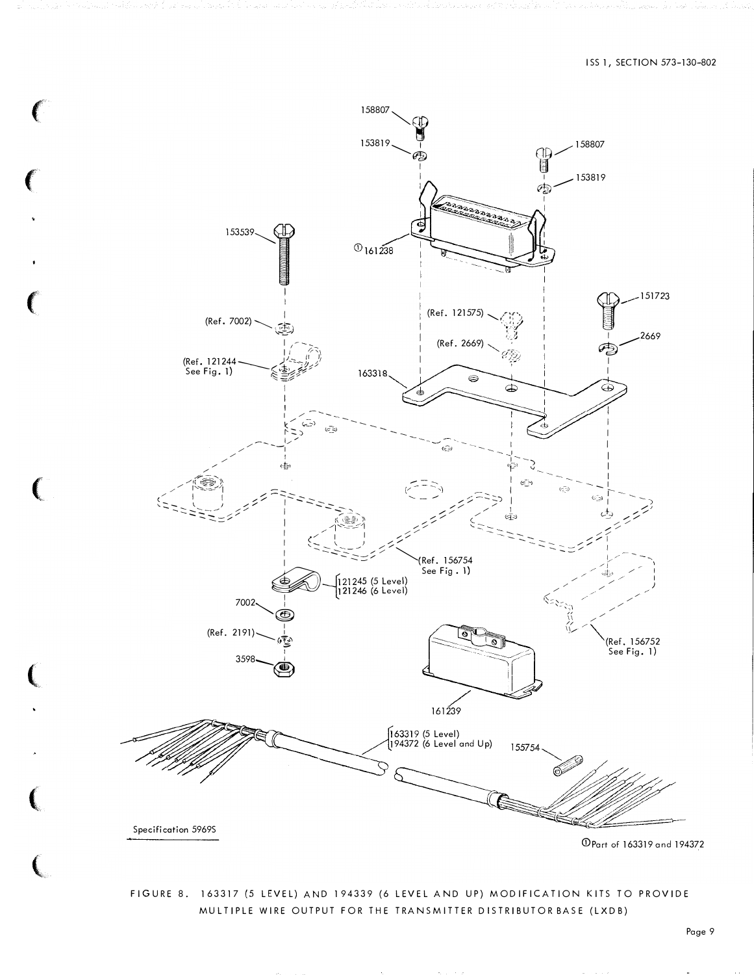![](_page_8_Figure_1.jpeg)

Ć

# FIGURE 8. 163317 (5 LEVEL) AND 194339 (6 LEVEL AND UP) MODIFICATION KITS TO PROVIDE MULTIPLE WIRE OUTPUT FOR THE TRANSMITTER DISTRIBUTOR BASE (LXDB)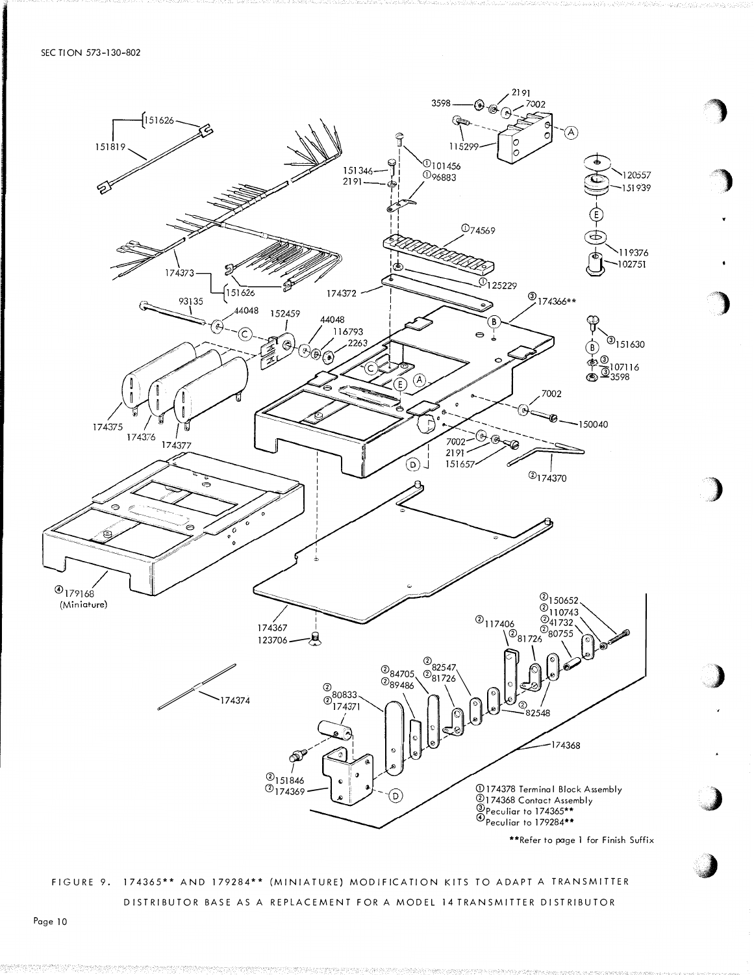SEC TION 573-130-802

![](_page_9_Figure_1.jpeg)

DISTRIBUTOR BASE AS A REPLACEMENT FOR A MODEL 14 TRANSMITTER DISTRIBUTOR

Page 10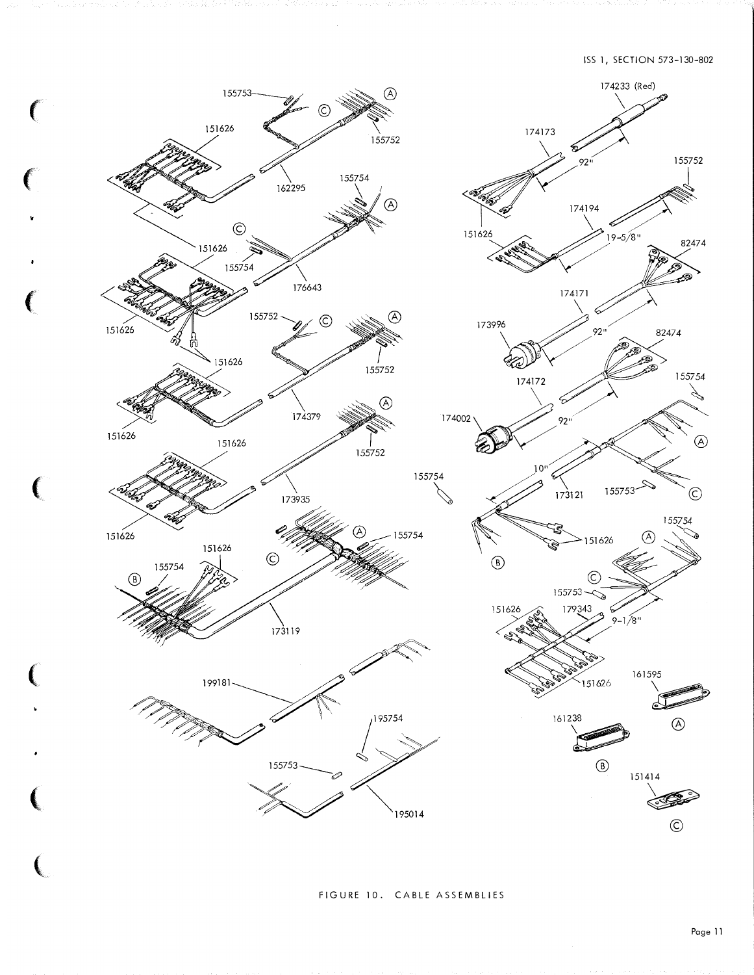![](_page_10_Figure_1.jpeg)

 $\big($ 

FIGURE 10. CABLE ASSEMBLIES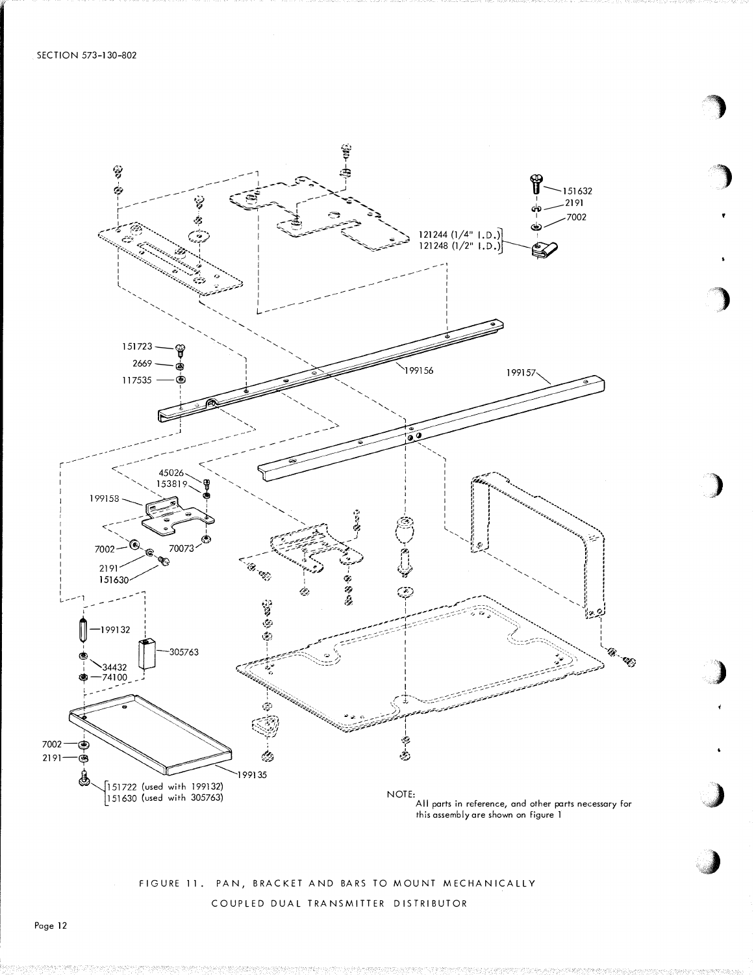![](_page_11_Figure_1.jpeg)

FIGURE 11. PAN, BRACKET AND BARS TO MOUNT MECHANICALLY COUPLED DUAL TRANSMITTER DISTRIBUTOR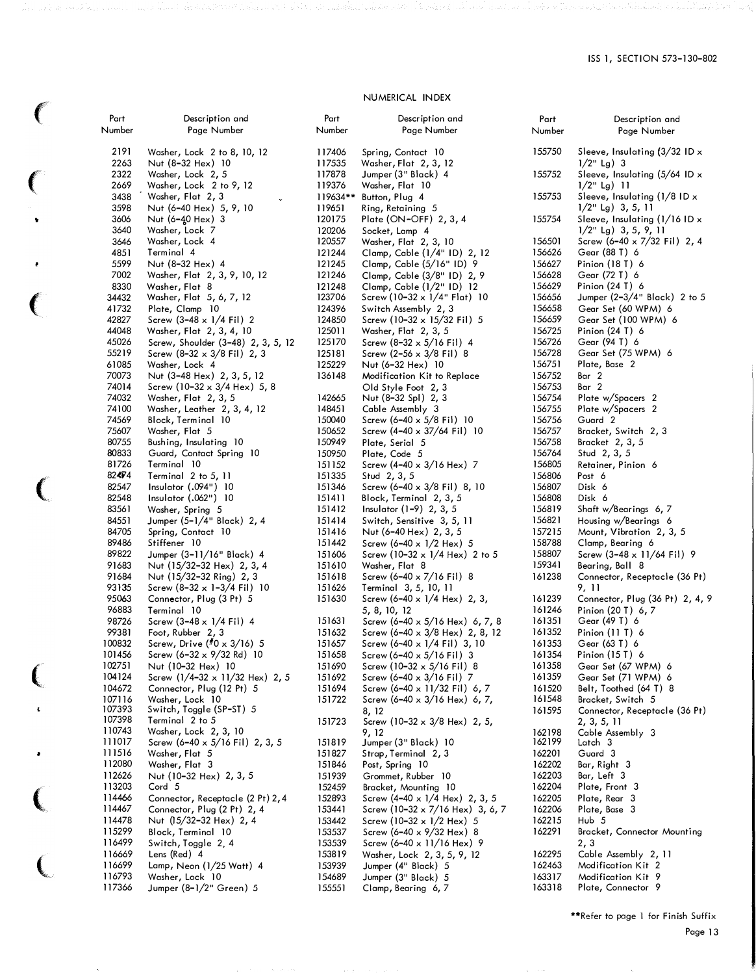## NUMERICAL INDEX

 $\big($ 

ل مار آن ماند های ا

 $\big($ 

'

 $\big($ 

 $\pmb{\epsilon}$ 

 $\big($ 

(

 $\bar{\mathbf{t}}$ 

 $\bullet$ 

 $\big($ 

(

 $\sim$ 

| Part<br>Number | Description and<br>Page Number                 | Part<br>Number | Description and<br>Page Number             | Part<br>Number | Description and<br>Page Number            |
|----------------|------------------------------------------------|----------------|--------------------------------------------|----------------|-------------------------------------------|
| 2191           | Washer, Lock 2 to 8, 10, 12                    | 117406         | Spring, Contact 10                         | 155750         | Sleeve, Insulating $(3/32$ ID $\times$    |
| 2263           | Nut (8–32 Hex) 10                              | 117535         | Washer, Flat 2, 3, 12                      |                | $1/2$ " Lg) 3                             |
| 2322           | Washer, Lock 2, 5                              | 117878         |                                            | 155752         | Sleeve, Insulating $(5/64$ ID $\times$    |
| 2669           | Washer, Lock 2 to 9, 12                        | 119376         | Jumper (3" Black) 4                        |                | $1/2$ " Lg) 11                            |
|                |                                                |                | Washer, Flat 10                            | 155753         |                                           |
| 3438           | Washer, Flat 2, 3                              | 119634**       | Button, Plug 4                             |                | Sleeve, Insulating $(1/8$ ID $\times$     |
| 3598           | Nut (6-40 Hex) 5, 9, 10                        | 119651         | Ring, Retaining 5                          |                | $1/2$ " Lg) 3, 5, 11                      |
| 3606           | Nut (6-40 Hex) 3                               | 120175         | Plate (ON-OFF) 2, 3, 4                     | 155754         | Sleeve, Insulating $(1/16$ ID $\times$    |
| 3640           | Washer, Lock 7                                 | 120206         | Socket, Lamp 4                             |                | $1/2$ " Lg) 3, 5, 9, 11                   |
| 3646           | Washer, Lock 4                                 | 120557         | Washer, Flat 2, 3, 10                      | 156501         | Screw (6-40 $\times$ 7/32 Fil) 2, 4       |
| 4851           | Terminal 4                                     | 121244         | Clamp, Cable (1/4" ID) 2, 12               | 156626         | Gear (88 T) 6                             |
| 5599           | Nut (8-32 Hex) 4                               | 121245         | Clamp, Cable (5/16" ID) 9                  | 156627         | Pinion (18 T) 6                           |
| 7002           | Washer, Flat 2, 3, 9, 10, 12                   | 121246         | Clamp, Cable (3/8" ID) 2, 9                | 156628         | Gear (72 T) 6                             |
| 8330           | Washer, Flat 8                                 | 121248         | Clamp, Cable (1/2" ID) 12                  | 156629         | Pinion (24 T) 6                           |
| 34432          | Washer, Flat 5, 6, 7, 12                       | 123706         | Screw (10-32 $\times$ 1/4" Flat) 10        | 156656         | Jumper $(2-3/4"$ Black) 2 to 5            |
| 41732          | Plate, Clamp 10                                | 124396         | Switch Assembly 2, 3                       | 156658         | Gear Set (60 WPM) 6                       |
| 42827          | Screw $(3-48 \times 1/4 \text{ Fil})$ 2        | 124850         | Screw (10-32 $\times$ 15/32 Fil) 5         | 156659         | Gear Set (100 WPM) 6                      |
| 44048          | Washer, Flat 2, 3, 4, 10                       | 125011         | Washer, Flat 2, 3, 5                       | 156725         | Pinion (24 T) 6                           |
| 45026          | Screw, Shoulder (3-48) 2, 3, 5, 12             | 125170         | Screw $(8-32 \times 5/16 \text{ Fil})$ 4   | 156726         | Gear (94 T) 6                             |
| 55219          | Screw $(8-32 \times 3/8)$ Fil 2, 3             | 125181         | Screw (2–56 $\times$ 3/8 Fil) 8            | 156728         | Gear Set (75 WPM) 6                       |
| 61085          | Washer, Lock 4                                 | 125229         | Nut (6-32 Hex) 10                          | 156751         | Plate, Base 2                             |
| 70073          | Nut (3-48 Hex) 2, 3, 5, 12                     | 136148         | Modification Kit to Replace                | 156752         | Bar 2                                     |
| 74014          | Screw (10–32 x 3/4 Hex) 5, 8                   |                | Old Style Foot 2, 3                        | 156753         | Bar 2                                     |
| 74032          | Washer, Flat 2, 3, 5                           | 142665         | Nut (8–32 Spl) 2, 3                        | 156754         | Plate w/Spacers 2                         |
| 74100          | Washer, Leather 2, 3, 4, 12                    | 148451         | Cable Assembly 3                           | 156755         | Plate w/Spacers 2                         |
| 74569          | Block, Terminal 10                             | 150040         | Screw $(6-40 \times 5/8 \text{ Fil})$ 10   | 156756         | Guard 2                                   |
| 75607          | Washer, Flat 5                                 | 150652         | Screw (4–40 x 37/64 Fil) 10                | 156757         | Bracket, Switch 2, 3                      |
| 80755          | Bushing, Insulating 10                         | 150949         | Plate, Serial 5                            | 156758         | Bracket 2, 3, 5                           |
| 80833          | Guard, Contact Spring 10                       | 150950         | Plate, Code 5                              | 156764         | Stud $2, 3, 5$                            |
| 81726          | Terminal 10                                    | 151152         | Screw (4–40 $\times$ 3/16 Hex) 7           | 156805         | Retainer, Pinion 6                        |
| 82474          | Terminal 2 to 5, 11                            | 151335         | Stud 2, 3, 5                               | 156806         | Post 6                                    |
| 82547          | Insulator $(.094")$ 10                         | 151346         | Screw (6–40 $\times$ 3/8 Fil) 8, 10        | 156807         | Disk 6                                    |
| 82548          | Insulator $(.062")$ 10                         | 151411         | Block, Terminal 2, 3, 5                    | 156808         | Disk 6                                    |
| 83561          | Washer, Spring 5                               | 151412         | Insulator $(1-9)$ 2, 3, 5                  | 156819         | Shaft w/Bearings 6, 7                     |
| 84551          | Jumper (5–1/4" Black) 2, 4                     | 151414         | Switch, Sensitive 3, 5, 11                 | 156821         | Housing w/Bearings 6                      |
| 84705          | Spring, Contact 10                             | 151416         | Nut (6–40 Hex) 2, 3, 5                     | 157215         | Mount, Vibration 2, 3, 5                  |
| 89486          | Stiffener 10                                   | 151442         | Screw (6–40 $\times$ 1/2 Hex) 5            | 158788         | Clamp, Bearing 6                          |
| 89822          | Jumper (3–11/16" Black) 4                      | 151606         | Screw (10-32 $\times$ 1/4 Hex) 2 to 5      | 158807         | Screw $(3-48 \times 11/64 \text{ Fil})$ 9 |
| 91683          | Nut (15/32–32 Hex) 2, 3, 4                     | 151610         | Washer, Flat 8                             | 159341         | Bearing, Ball 8                           |
| 91684          | Nut (15/32–32 Ring) 2, 3                       | 151618         | Screw (6–40 x 7/16 Fil) 8                  | 161238         | Connector, Receptacle (36 Pt)             |
| 93135          | Screw (8–32 x 1–3/4 Fil) 10                    | 151626         | Terminal 3, 5, 10, 11                      |                | 9, 11                                     |
| 95063          | Connector, Plug (3 Pt) 5                       | 151630         | Screw $(6-40 \times 1/4$ Hex) 2, 3,        | 161239         | Connector, Plug (36 Pt) 2, 4, 9           |
| 96883          | Terminal 10                                    |                | 5, 8, 10, 12                               | 161246         | Pinion (20 T) 6, 7                        |
| 98726          | Screw (3–48 x 1/4 Fil) 4                       | 151631         | Screw $(6-40 \times 5/16$ Hex) 6, 7, 8     | 161351         | Gear (49 T) 6                             |
| 99381          | Foot, Rubber 2, 3                              | 151632         | Screw (6–40 x 3/8 Hex) 2, 8, 12            | 161352         | Pinion $(11 T)$ 6                         |
| 100832         | Screw, Drive (#0 x 3/16) 5                     | 151657         | Screw (6–40 $\times$ 1/4 Fil) 3, 10        | 161353         | Gear (63 T) 6                             |
| 101456         | Screw (6–32 x 9/32 Rd) 10                      | 151658         | Screw (6–40 $\times$ 5/16 Fil) 3           | 161354         | Pinion (15 T) 6                           |
| 102751         | Nut (10-32 Hex) 10                             | 151690         | Screw (10–32 x 5/16 Fil) 8                 | 161358         | Gear Set (67 WPM) 6                       |
| 104124         | Screw $(1/4-32 \times 11/32$ Hex) 2, 5         | 151692         | Screw $(6 - 40 \times 3/16 \text{ Fil})$ 7 | 161359         | Gear Set (71 WPM) 6                       |
| 104672         | Connector, Plug (12 Pt) 5                      | 151694         | Screw (6-40 x 11/32 Fil) 6, 7              | 161520         | Belt, Toothed (64 T) 8                    |
| 107116         | Washer, Lock 10                                | 151722         | Screw (6–40 x $3/16$ Hex) 6, 7,            | 161548         | Bracket, Switch 5                         |
| 107393         | Switch, Toggle (SP-ST) 5                       |                | 8, 12                                      | 161595         | Connector, Receptacle (36 Pt)             |
| 107398         | Terminal 2 to 5                                | 151723         | Screw $(10-32 \times 3/8$ Hex) 2, 5,       |                | 2, 3, 5, 11                               |
| 110743         | Washer, Lock 2, 3, 10                          |                | 9, 12                                      | 162198         | Cable Assembly 3                          |
| 111017         | Screw $(6-40 \times 5/16 \text{ Fil})$ 2, 3, 5 | 151819         | Jumper (3" Black) 10                       | 162199         | Latch 3                                   |
| 111516         | Washer, Flat 5                                 | 151827         | Strap, Terminal 2, 3                       | 162201         | Guard 3                                   |
| 112080         | Washer, Flat 3                                 | 151846         | Post, Spring 10                            | 162202         | Bar, Right 3                              |
| 112626         | Nut (10–32 Hex) 2, 3, 5                        | 151939         | Grommet, Rubber 10                         | 162203         | Bar, Left 3                               |
| 113203         | Cord 5                                         | 152459         | Bracket, Mounting 10                       | 162204         | Plate, Front 3                            |
| 114466         | Connector, Receptacle (2 Pt) 2,4               | 152893         | Screw $(4-40 \times 1/4$ Hex) 2, 3, 5      | 162205         | Plate, Rear 3                             |
| 114467         | Connector, Plug (2 Pt) 2, 4                    | 153441         | Screw (10–32 x 7/16 Hex) 3, 6, 7           | 162206         | Plate, Base 3                             |
| 114478         | Nut (15/32-32 Hex) 2, 4                        | 153442         | Screw (10–32 $\times$ 1/2 Hex) 5           | 162215         | Hub 5                                     |
| 115299         | Block, Terminal 10                             | 153537         | Screw (6-40 $\times$ 9/32 Hex) 8           | 162291         | Bracket, Connector Mounting               |
| 116499         | Switch, Toggle 2, 4                            | 153539         | Screw (6-40 x 11/16 Hex) 9                 |                | 2, 3                                      |
| 116669         | Lens (Red) 4                                   | 153819         | Washer, Lock 2, 3, 5, 9, 12                | 162295         | Cable Assembly 2, 11                      |
| 116699         | Lamp, Neon (1/25 Watt) 4                       | 153939         | Jumper (4" Black) 5                        | 162463         | Modification Kit 2                        |
| 116793         | Washer, Lock 10                                | 154689         | Jumper (3" Black) 5                        | 163317         | Modification Kit 9                        |
| 117366         | Jumper (8-1/2" Green) 5                        | 155551         | Clamp, Bearing 6, 7                        | 163318         | Plate, Connector 9                        |
|                |                                                |                |                                            |                |                                           |

\*\*Refer to page 1 for Finish Suffix

 $\alpha_{\rm{p}}$ 

Page 13